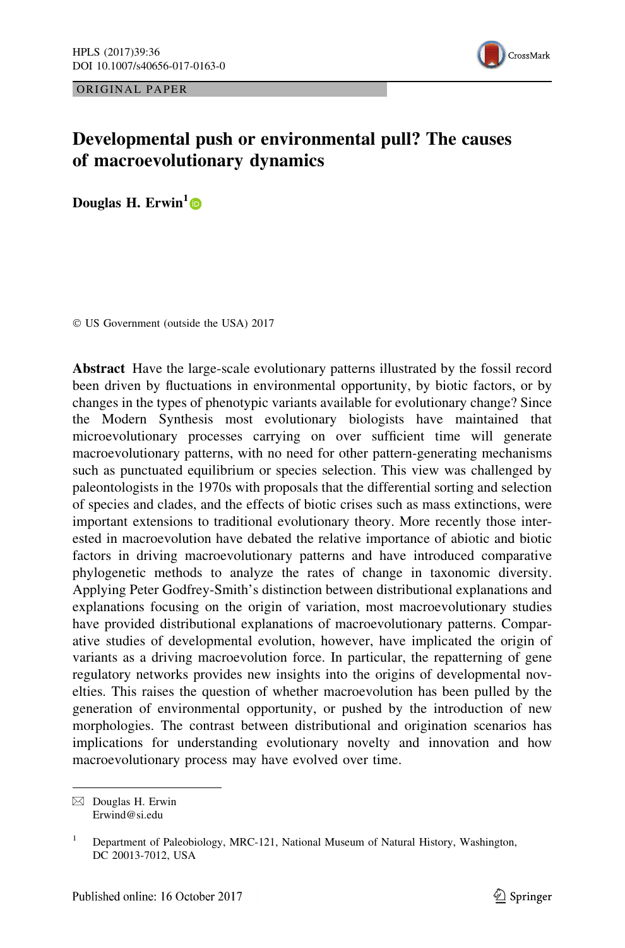ORIGINAL PAPER



# Developmental push or environmental pull? The causes of macroevolutionary dynamics

Douglas H. Erwin<sup>1</sup>

© US Government (outside the USA) 2017

Abstract Have the large-scale evolutionary patterns illustrated by the fossil record been driven by fluctuations in environmental opportunity, by biotic factors, or by changes in the types of phenotypic variants available for evolutionary change? Since the Modern Synthesis most evolutionary biologists have maintained that microevolutionary processes carrying on over sufficient time will generate macroevolutionary patterns, with no need for other pattern-generating mechanisms such as punctuated equilibrium or species selection. This view was challenged by paleontologists in the 1970s with proposals that the differential sorting and selection of species and clades, and the effects of biotic crises such as mass extinctions, were important extensions to traditional evolutionary theory. More recently those interested in macroevolution have debated the relative importance of abiotic and biotic factors in driving macroevolutionary patterns and have introduced comparative phylogenetic methods to analyze the rates of change in taxonomic diversity. Applying Peter Godfrey-Smith's distinction between distributional explanations and explanations focusing on the origin of variation, most macroevolutionary studies have provided distributional explanations of macroevolutionary patterns. Comparative studies of developmental evolution, however, have implicated the origin of variants as a driving macroevolution force. In particular, the repatterning of gene regulatory networks provides new insights into the origins of developmental novelties. This raises the question of whether macroevolution has been pulled by the generation of environmental opportunity, or pushed by the introduction of new morphologies. The contrast between distributional and origination scenarios has implications for understanding evolutionary novelty and innovation and how macroevolutionary process may have evolved over time.

 $\boxtimes$  Douglas H. Erwin Erwind@si.edu

<sup>&</sup>lt;sup>1</sup> Department of Paleobiology, MRC-121, National Museum of Natural History, Washington, DC 20013-7012, USA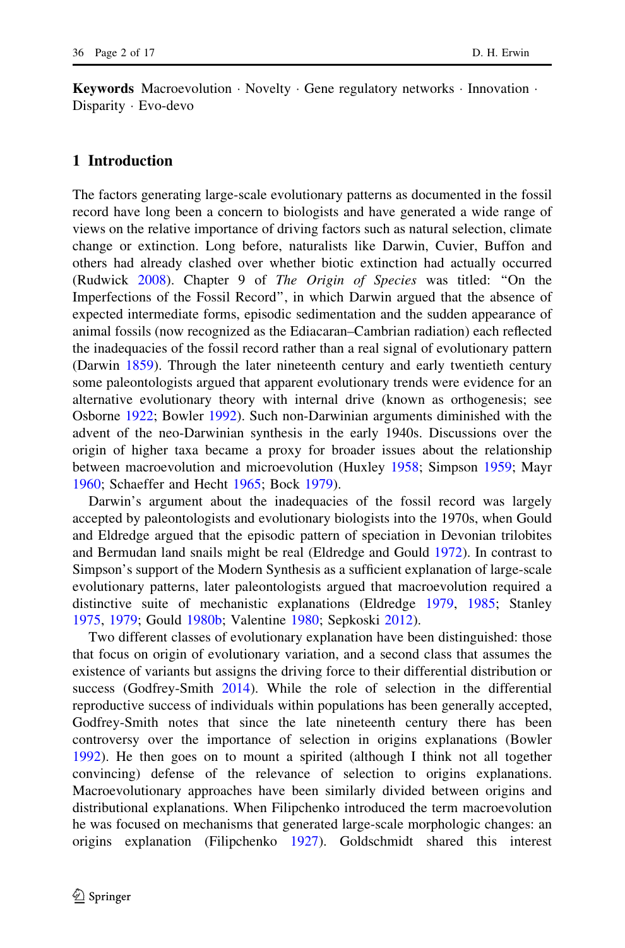Keywords Macroevolution · Novelty · Gene regulatory networks · Innovation · Disparity - Evo-devo

## 1 Introduction

The factors generating large-scale evolutionary patterns as documented in the fossil record have long been a concern to biologists and have generated a wide range of views on the relative importance of driving factors such as natural selection, climate change or extinction. Long before, naturalists like Darwin, Cuvier, Buffon and others had already clashed over whether biotic extinction had actually occurred (Rudwick [2008\)](#page-14-0). Chapter 9 of The Origin of Species was titled: ''On the Imperfections of the Fossil Record'', in which Darwin argued that the absence of expected intermediate forms, episodic sedimentation and the sudden appearance of animal fossils (now recognized as the Ediacaran–Cambrian radiation) each reflected the inadequacies of the fossil record rather than a real signal of evolutionary pattern (Darwin [1859](#page-12-0)). Through the later nineteenth century and early twentieth century some paleontologists argued that apparent evolutionary trends were evidence for an alternative evolutionary theory with internal drive (known as orthogenesis; see Osborne [1922;](#page-14-0) Bowler [1992\)](#page-11-0). Such non-Darwinian arguments diminished with the advent of the neo-Darwinian synthesis in the early 1940s. Discussions over the origin of higher taxa became a proxy for broader issues about the relationship between macroevolution and microevolution (Huxley [1958;](#page-13-0) Simpson [1959](#page-15-0); Mayr [1960;](#page-14-0) Schaeffer and Hecht [1965;](#page-15-0) Bock [1979](#page-11-0)).

Darwin's argument about the inadequacies of the fossil record was largely accepted by paleontologists and evolutionary biologists into the 1970s, when Gould and Eldredge argued that the episodic pattern of speciation in Devonian trilobites and Bermudan land snails might be real (Eldredge and Gould [1972](#page-12-0)). In contrast to Simpson's support of the Modern Synthesis as a sufficient explanation of large-scale evolutionary patterns, later paleontologists argued that macroevolution required a distinctive suite of mechanistic explanations (Eldredge [1979](#page-12-0), [1985;](#page-12-0) Stanley [1975,](#page-15-0) [1979;](#page-15-0) Gould [1980b](#page-13-0); Valentine [1980;](#page-15-0) Sepkoski [2012\)](#page-15-0).

Two different classes of evolutionary explanation have been distinguished: those that focus on origin of evolutionary variation, and a second class that assumes the existence of variants but assigns the driving force to their differential distribution or success (Godfrey-Smith [2014](#page-12-0)). While the role of selection in the differential reproductive success of individuals within populations has been generally accepted, Godfrey-Smith notes that since the late nineteenth century there has been controversy over the importance of selection in origins explanations (Bowler [1992\)](#page-11-0). He then goes on to mount a spirited (although I think not all together convincing) defense of the relevance of selection to origins explanations. Macroevolutionary approaches have been similarly divided between origins and distributional explanations. When Filipchenko introduced the term macroevolution he was focused on mechanisms that generated large-scale morphologic changes: an origins explanation (Filipchenko [1927](#page-12-0)). Goldschmidt shared this interest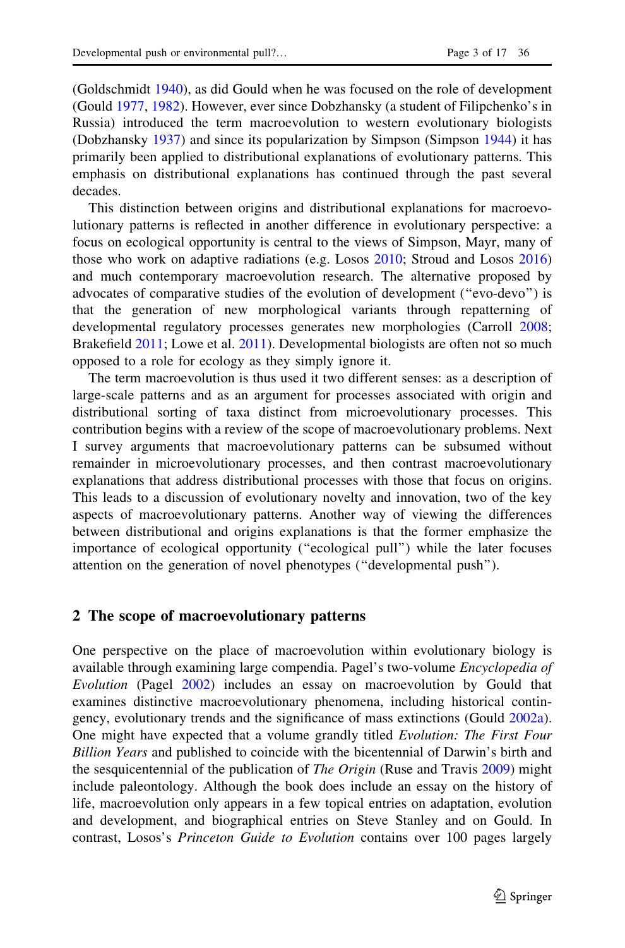(Goldschmidt [1940\)](#page-12-0), as did Gould when he was focused on the role of development (Gould [1977,](#page-12-0) [1982](#page-13-0)). However, ever since Dobzhansky (a student of Filipchenko's in Russia) introduced the term macroevolution to western evolutionary biologists (Dobzhansky [1937](#page-12-0)) and since its popularization by Simpson (Simpson [1944](#page-15-0)) it has primarily been applied to distributional explanations of evolutionary patterns. This emphasis on distributional explanations has continued through the past several decades.

This distinction between origins and distributional explanations for macroevolutionary patterns is reflected in another difference in evolutionary perspective: a focus on ecological opportunity is central to the views of Simpson, Mayr, many of those who work on adaptive radiations (e.g. Losos [2010](#page-13-0); Stroud and Losos [2016](#page-15-0)) and much contemporary macroevolution research. The alternative proposed by advocates of comparative studies of the evolution of development (''evo-devo'') is that the generation of new morphological variants through repatterning of developmental regulatory processes generates new morphologies (Carroll [2008;](#page-12-0) Brakefield [2011](#page-12-0); Lowe et al. [2011\)](#page-14-0). Developmental biologists are often not so much opposed to a role for ecology as they simply ignore it.

The term macroevolution is thus used it two different senses: as a description of large-scale patterns and as an argument for processes associated with origin and distributional sorting of taxa distinct from microevolutionary processes. This contribution begins with a review of the scope of macroevolutionary problems. Next I survey arguments that macroevolutionary patterns can be subsumed without remainder in microevolutionary processes, and then contrast macroevolutionary explanations that address distributional processes with those that focus on origins. This leads to a discussion of evolutionary novelty and innovation, two of the key aspects of macroevolutionary patterns. Another way of viewing the differences between distributional and origins explanations is that the former emphasize the importance of ecological opportunity (''ecological pull'') while the later focuses attention on the generation of novel phenotypes (''developmental push'').

### 2 The scope of macroevolutionary patterns

One perspective on the place of macroevolution within evolutionary biology is available through examining large compendia. Pagel's two-volume Encyclopedia of Evolution (Pagel [2002\)](#page-14-0) includes an essay on macroevolution by Gould that examines distinctive macroevolutionary phenomena, including historical contingency, evolutionary trends and the significance of mass extinctions (Gould [2002a\)](#page-13-0). One might have expected that a volume grandly titled Evolution: The First Four Billion Years and published to coincide with the bicentennial of Darwin's birth and the sesquicentennial of the publication of *The Origin* (Ruse and Travis [2009\)](#page-14-0) might include paleontology. Although the book does include an essay on the history of life, macroevolution only appears in a few topical entries on adaptation, evolution and development, and biographical entries on Steve Stanley and on Gould. In contrast, Losos's Princeton Guide to Evolution contains over 100 pages largely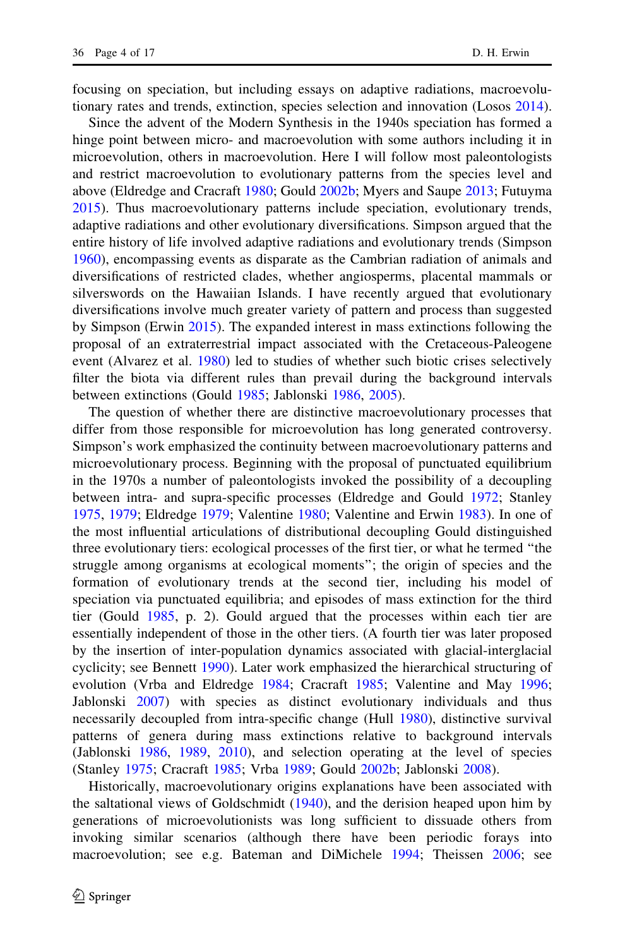focusing on speciation, but including essays on adaptive radiations, macroevolutionary rates and trends, extinction, species selection and innovation (Losos [2014\)](#page-13-0).

Since the advent of the Modern Synthesis in the 1940s speciation has formed a hinge point between micro- and macroevolution with some authors including it in microevolution, others in macroevolution. Here I will follow most paleontologists and restrict macroevolution to evolutionary patterns from the species level and above (Eldredge and Cracraft [1980](#page-12-0); Gould [2002b;](#page-13-0) Myers and Saupe [2013](#page-14-0); Futuyma [2015\)](#page-12-0). Thus macroevolutionary patterns include speciation, evolutionary trends, adaptive radiations and other evolutionary diversifications. Simpson argued that the entire history of life involved adaptive radiations and evolutionary trends (Simpson [1960\)](#page-15-0), encompassing events as disparate as the Cambrian radiation of animals and diversifications of restricted clades, whether angiosperms, placental mammals or silverswords on the Hawaiian Islands. I have recently argued that evolutionary diversifications involve much greater variety of pattern and process than suggested by Simpson (Erwin [2015\)](#page-12-0). The expanded interest in mass extinctions following the proposal of an extraterrestrial impact associated with the Cretaceous-Paleogene event (Alvarez et al. [1980\)](#page-11-0) led to studies of whether such biotic crises selectively filter the biota via different rules than prevail during the background intervals between extinctions (Gould [1985;](#page-13-0) Jablonski [1986,](#page-13-0) [2005\)](#page-13-0).

The question of whether there are distinctive macroevolutionary processes that differ from those responsible for microevolution has long generated controversy. Simpson's work emphasized the continuity between macroevolutionary patterns and microevolutionary process. Beginning with the proposal of punctuated equilibrium in the 1970s a number of paleontologists invoked the possibility of a decoupling between intra- and supra-specific processes (Eldredge and Gould [1972;](#page-12-0) Stanley [1975,](#page-15-0) [1979](#page-15-0); Eldredge [1979;](#page-12-0) Valentine [1980](#page-15-0); Valentine and Erwin [1983](#page-15-0)). In one of the most influential articulations of distributional decoupling Gould distinguished three evolutionary tiers: ecological processes of the first tier, or what he termed ''the struggle among organisms at ecological moments''; the origin of species and the formation of evolutionary trends at the second tier, including his model of speciation via punctuated equilibria; and episodes of mass extinction for the third tier (Gould [1985](#page-13-0), p. 2). Gould argued that the processes within each tier are essentially independent of those in the other tiers. (A fourth tier was later proposed by the insertion of inter-population dynamics associated with glacial-interglacial cyclicity; see Bennett [1990](#page-11-0)). Later work emphasized the hierarchical structuring of evolution (Vrba and Eldredge [1984;](#page-16-0) Cracraft [1985;](#page-12-0) Valentine and May [1996;](#page-15-0) Jablonski [2007\)](#page-13-0) with species as distinct evolutionary individuals and thus necessarily decoupled from intra-specific change (Hull [1980\)](#page-13-0), distinctive survival patterns of genera during mass extinctions relative to background intervals (Jablonski [1986,](#page-13-0) [1989,](#page-13-0) [2010\)](#page-13-0), and selection operating at the level of species (Stanley [1975;](#page-15-0) Cracraft [1985;](#page-12-0) Vrba [1989](#page-16-0); Gould [2002b;](#page-13-0) Jablonski [2008\)](#page-13-0).

Historically, macroevolutionary origins explanations have been associated with the saltational views of Goldschmidt [\(1940](#page-12-0)), and the derision heaped upon him by generations of microevolutionists was long sufficient to dissuade others from invoking similar scenarios (although there have been periodic forays into macroevolution; see e.g. Bateman and DiMichele [1994](#page-11-0); Theissen [2006](#page-15-0); see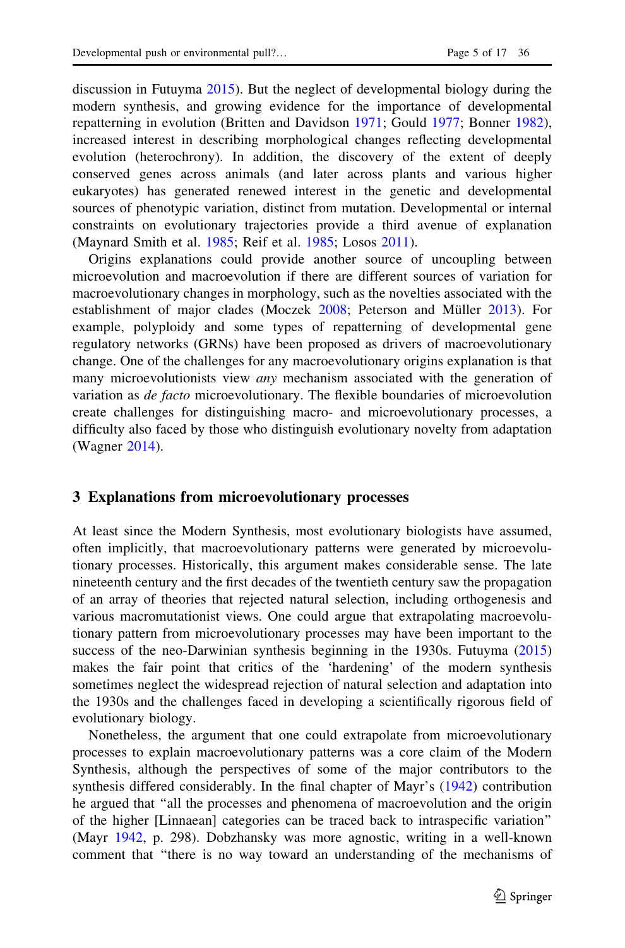discussion in Futuyma [2015](#page-12-0)). But the neglect of developmental biology during the modern synthesis, and growing evidence for the importance of developmental repatterning in evolution (Britten and Davidson [1971](#page-12-0); Gould [1977;](#page-12-0) Bonner [1982\)](#page-11-0), increased interest in describing morphological changes reflecting developmental evolution (heterochrony). In addition, the discovery of the extent of deeply conserved genes across animals (and later across plants and various higher eukaryotes) has generated renewed interest in the genetic and developmental sources of phenotypic variation, distinct from mutation. Developmental or internal constraints on evolutionary trajectories provide a third avenue of explanation (Maynard Smith et al. [1985;](#page-14-0) Reif et al. [1985;](#page-14-0) Losos [2011](#page-13-0)).

Origins explanations could provide another source of uncoupling between microevolution and macroevolution if there are different sources of variation for macroevolutionary changes in morphology, such as the novelties associated with the establishment of major clades (Moczek [2008](#page-14-0); Peterson and Müller [2013\)](#page-14-0). For example, polyploidy and some types of repatterning of developmental gene regulatory networks (GRNs) have been proposed as drivers of macroevolutionary change. One of the challenges for any macroevolutionary origins explanation is that many microevolutionists view *any* mechanism associated with the generation of variation as de facto microevolutionary. The flexible boundaries of microevolution create challenges for distinguishing macro- and microevolutionary processes, a difficulty also faced by those who distinguish evolutionary novelty from adaptation (Wagner [2014](#page-16-0)).

#### 3 Explanations from microevolutionary processes

At least since the Modern Synthesis, most evolutionary biologists have assumed, often implicitly, that macroevolutionary patterns were generated by microevolutionary processes. Historically, this argument makes considerable sense. The late nineteenth century and the first decades of the twentieth century saw the propagation of an array of theories that rejected natural selection, including orthogenesis and various macromutationist views. One could argue that extrapolating macroevolutionary pattern from microevolutionary processes may have been important to the success of the neo-Darwinian synthesis beginning in the 1930s. Futuyma [\(2015](#page-12-0)) makes the fair point that critics of the 'hardening' of the modern synthesis sometimes neglect the widespread rejection of natural selection and adaptation into the 1930s and the challenges faced in developing a scientifically rigorous field of evolutionary biology.

Nonetheless, the argument that one could extrapolate from microevolutionary processes to explain macroevolutionary patterns was a core claim of the Modern Synthesis, although the perspectives of some of the major contributors to the synthesis differed considerably. In the final chapter of Mayr's ([1942\)](#page-14-0) contribution he argued that ''all the processes and phenomena of macroevolution and the origin of the higher [Linnaean] categories can be traced back to intraspecific variation'' (Mayr [1942,](#page-14-0) p. 298). Dobzhansky was more agnostic, writing in a well-known comment that ''there is no way toward an understanding of the mechanisms of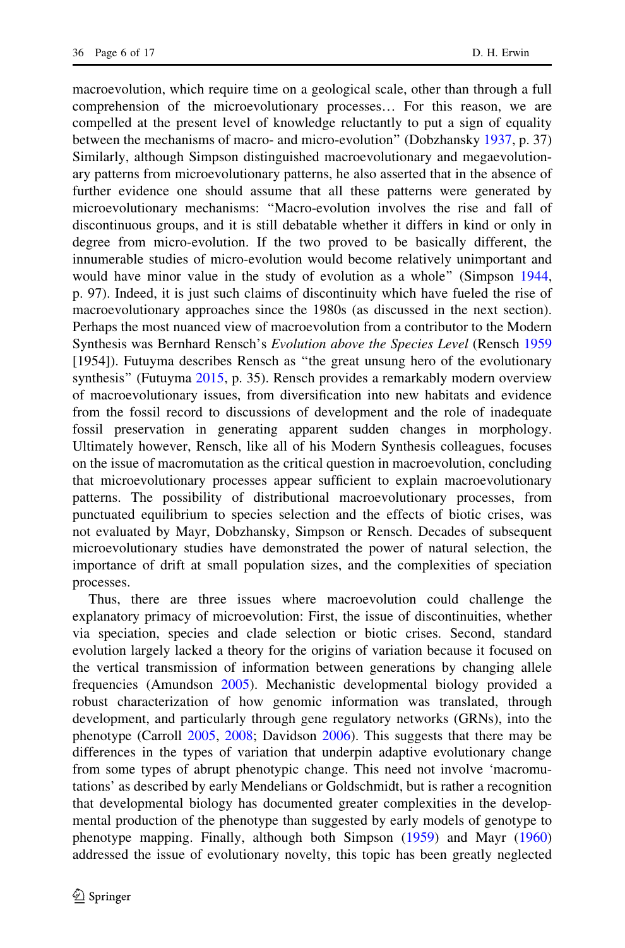macroevolution, which require time on a geological scale, other than through a full comprehension of the microevolutionary processes… For this reason, we are compelled at the present level of knowledge reluctantly to put a sign of equality between the mechanisms of macro- and micro-evolution'' (Dobzhansky [1937](#page-12-0), p. 37) Similarly, although Simpson distinguished macroevolutionary and megaevolutionary patterns from microevolutionary patterns, he also asserted that in the absence of further evidence one should assume that all these patterns were generated by microevolutionary mechanisms: ''Macro-evolution involves the rise and fall of discontinuous groups, and it is still debatable whether it differs in kind or only in degree from micro-evolution. If the two proved to be basically different, the innumerable studies of micro-evolution would become relatively unimportant and would have minor value in the study of evolution as a whole'' (Simpson [1944,](#page-15-0) p. 97). Indeed, it is just such claims of discontinuity which have fueled the rise of macroevolutionary approaches since the 1980s (as discussed in the next section). Perhaps the most nuanced view of macroevolution from a contributor to the Modern Synthesis was Bernhard Rensch's Evolution above the Species Level (Rensch [1959](#page-14-0) [1954]). Futuyma describes Rensch as ''the great unsung hero of the evolutionary synthesis'' (Futuyma [2015,](#page-12-0) p. 35). Rensch provides a remarkably modern overview of macroevolutionary issues, from diversification into new habitats and evidence from the fossil record to discussions of development and the role of inadequate fossil preservation in generating apparent sudden changes in morphology. Ultimately however, Rensch, like all of his Modern Synthesis colleagues, focuses on the issue of macromutation as the critical question in macroevolution, concluding that microevolutionary processes appear sufficient to explain macroevolutionary patterns. The possibility of distributional macroevolutionary processes, from punctuated equilibrium to species selection and the effects of biotic crises, was not evaluated by Mayr, Dobzhansky, Simpson or Rensch. Decades of subsequent microevolutionary studies have demonstrated the power of natural selection, the importance of drift at small population sizes, and the complexities of speciation processes.

Thus, there are three issues where macroevolution could challenge the explanatory primacy of microevolution: First, the issue of discontinuities, whether via speciation, species and clade selection or biotic crises. Second, standard evolution largely lacked a theory for the origins of variation because it focused on the vertical transmission of information between generations by changing allele frequencies (Amundson [2005\)](#page-11-0). Mechanistic developmental biology provided a robust characterization of how genomic information was translated, through development, and particularly through gene regulatory networks (GRNs), into the phenotype (Carroll [2005,](#page-12-0) [2008](#page-12-0); Davidson [2006\)](#page-12-0). This suggests that there may be differences in the types of variation that underpin adaptive evolutionary change from some types of abrupt phenotypic change. This need not involve 'macromutations' as described by early Mendelians or Goldschmidt, but is rather a recognition that developmental biology has documented greater complexities in the developmental production of the phenotype than suggested by early models of genotype to phenotype mapping. Finally, although both Simpson ([1959\)](#page-15-0) and Mayr [\(1960](#page-14-0)) addressed the issue of evolutionary novelty, this topic has been greatly neglected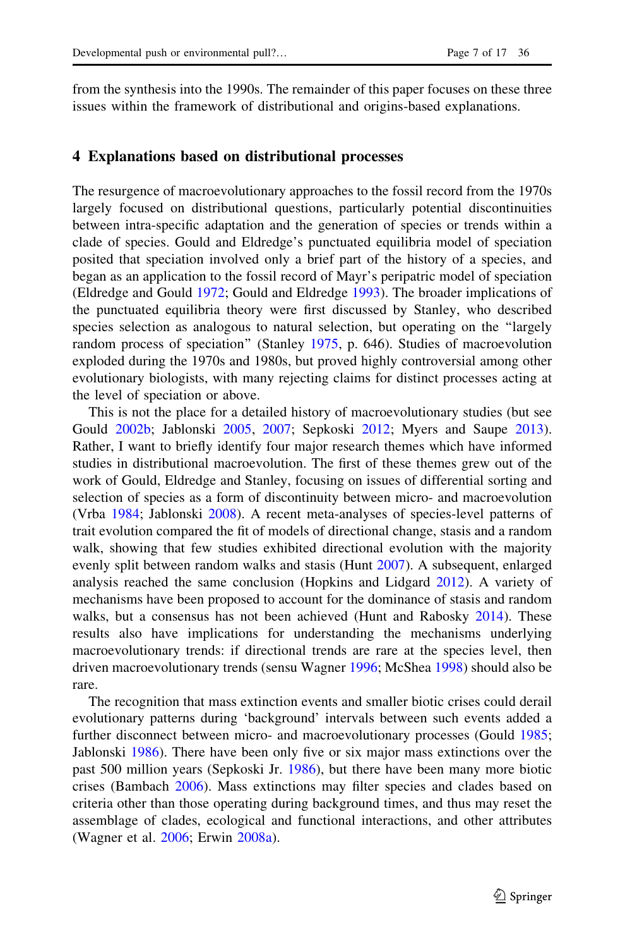from the synthesis into the 1990s. The remainder of this paper focuses on these three issues within the framework of distributional and origins-based explanations.

#### 4 Explanations based on distributional processes

The resurgence of macroevolutionary approaches to the fossil record from the 1970s largely focused on distributional questions, particularly potential discontinuities between intra-specific adaptation and the generation of species or trends within a clade of species. Gould and Eldredge's punctuated equilibria model of speciation posited that speciation involved only a brief part of the history of a species, and began as an application to the fossil record of Mayr's peripatric model of speciation (Eldredge and Gould [1972](#page-12-0); Gould and Eldredge [1993](#page-13-0)). The broader implications of the punctuated equilibria theory were first discussed by Stanley, who described species selection as analogous to natural selection, but operating on the ''largely random process of speciation" (Stanley [1975](#page-15-0), p. 646). Studies of macroevolution exploded during the 1970s and 1980s, but proved highly controversial among other evolutionary biologists, with many rejecting claims for distinct processes acting at the level of speciation or above.

This is not the place for a detailed history of macroevolutionary studies (but see Gould [2002b](#page-13-0); Jablonski [2005](#page-13-0), [2007;](#page-13-0) Sepkoski [2012;](#page-15-0) Myers and Saupe [2013\)](#page-14-0). Rather, I want to briefly identify four major research themes which have informed studies in distributional macroevolution. The first of these themes grew out of the work of Gould, Eldredge and Stanley, focusing on issues of differential sorting and selection of species as a form of discontinuity between micro- and macroevolution (Vrba [1984](#page-16-0); Jablonski [2008\)](#page-13-0). A recent meta-analyses of species-level patterns of trait evolution compared the fit of models of directional change, stasis and a random walk, showing that few studies exhibited directional evolution with the majority evenly split between random walks and stasis (Hunt [2007](#page-13-0)). A subsequent, enlarged analysis reached the same conclusion (Hopkins and Lidgard [2012\)](#page-13-0). A variety of mechanisms have been proposed to account for the dominance of stasis and random walks, but a consensus has not been achieved (Hunt and Rabosky [2014](#page-13-0)). These results also have implications for understanding the mechanisms underlying macroevolutionary trends: if directional trends are rare at the species level, then driven macroevolutionary trends (sensu Wagner [1996;](#page-16-0) McShea [1998\)](#page-14-0) should also be rare.

The recognition that mass extinction events and smaller biotic crises could derail evolutionary patterns during 'background' intervals between such events added a further disconnect between micro- and macroevolutionary processes (Gould [1985;](#page-13-0) Jablonski [1986\)](#page-13-0). There have been only five or six major mass extinctions over the past 500 million years (Sepkoski Jr. [1986](#page-15-0)), but there have been many more biotic crises (Bambach [2006](#page-11-0)). Mass extinctions may filter species and clades based on criteria other than those operating during background times, and thus may reset the assemblage of clades, ecological and functional interactions, and other attributes (Wagner et al. [2006](#page-16-0); Erwin [2008a](#page-12-0)).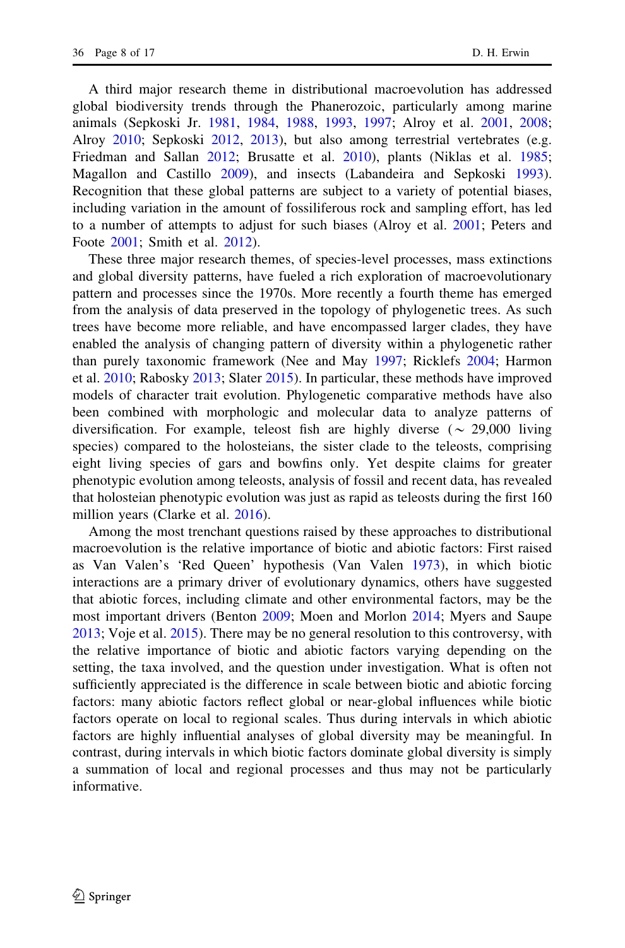A third major research theme in distributional macroevolution has addressed global biodiversity trends through the Phanerozoic, particularly among marine animals (Sepkoski Jr. [1981](#page-15-0), [1984,](#page-15-0) [1988,](#page-15-0) [1993](#page-15-0), [1997;](#page-15-0) Alroy et al. [2001](#page-11-0), [2008;](#page-11-0) Alroy [2010](#page-11-0); Sepkoski [2012,](#page-15-0) [2013](#page-15-0)), but also among terrestrial vertebrates (e.g. Friedman and Sallan [2012;](#page-12-0) Brusatte et al. [2010](#page-12-0)), plants (Niklas et al. [1985;](#page-14-0) Magallon and Castillo [2009](#page-14-0)), and insects (Labandeira and Sepkoski [1993\)](#page-13-0). Recognition that these global patterns are subject to a variety of potential biases, including variation in the amount of fossiliferous rock and sampling effort, has led to a number of attempts to adjust for such biases (Alroy et al. [2001;](#page-11-0) Peters and Foote [2001;](#page-14-0) Smith et al. [2012](#page-15-0)).

These three major research themes, of species-level processes, mass extinctions and global diversity patterns, have fueled a rich exploration of macroevolutionary pattern and processes since the 1970s. More recently a fourth theme has emerged from the analysis of data preserved in the topology of phylogenetic trees. As such trees have become more reliable, and have encompassed larger clades, they have enabled the analysis of changing pattern of diversity within a phylogenetic rather than purely taxonomic framework (Nee and May [1997](#page-14-0); Ricklefs [2004](#page-14-0); Harmon et al. [2010;](#page-13-0) Rabosky [2013;](#page-14-0) Slater [2015\)](#page-15-0). In particular, these methods have improved models of character trait evolution. Phylogenetic comparative methods have also been combined with morphologic and molecular data to analyze patterns of diversification. For example, teleost fish are highly diverse ( $\sim$  29,000 living species) compared to the holosteians, the sister clade to the teleosts, comprising eight living species of gars and bowfins only. Yet despite claims for greater phenotypic evolution among teleosts, analysis of fossil and recent data, has revealed that holosteian phenotypic evolution was just as rapid as teleosts during the first 160 million years (Clarke et al. [2016\)](#page-12-0).

Among the most trenchant questions raised by these approaches to distributional macroevolution is the relative importance of biotic and abiotic factors: First raised as Van Valen's 'Red Queen' hypothesis (Van Valen [1973\)](#page-15-0), in which biotic interactions are a primary driver of evolutionary dynamics, others have suggested that abiotic forces, including climate and other environmental factors, may be the most important drivers (Benton [2009](#page-11-0); Moen and Morlon [2014;](#page-14-0) Myers and Saupe [2013;](#page-14-0) Voje et al. [2015\)](#page-16-0). There may be no general resolution to this controversy, with the relative importance of biotic and abiotic factors varying depending on the setting, the taxa involved, and the question under investigation. What is often not sufficiently appreciated is the difference in scale between biotic and abiotic forcing factors: many abiotic factors reflect global or near-global influences while biotic factors operate on local to regional scales. Thus during intervals in which abiotic factors are highly influential analyses of global diversity may be meaningful. In contrast, during intervals in which biotic factors dominate global diversity is simply a summation of local and regional processes and thus may not be particularly informative.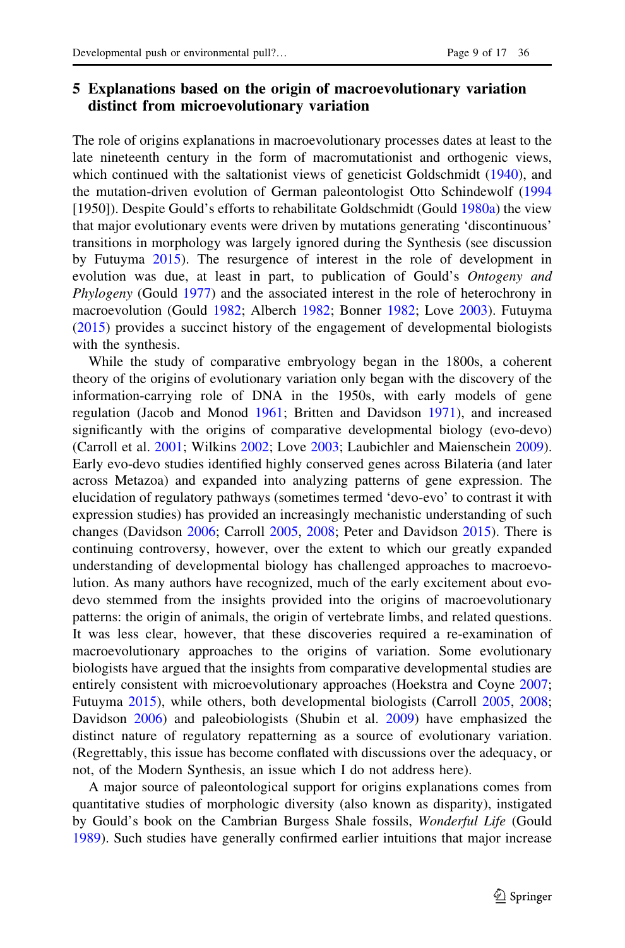# 5 Explanations based on the origin of macroevolutionary variation distinct from microevolutionary variation

The role of origins explanations in macroevolutionary processes dates at least to the late nineteenth century in the form of macromutationist and orthogenic views, which continued with the saltationist views of geneticist Goldschmidt ([1940\)](#page-12-0), and the mutation-driven evolution of German paleontologist Otto Schindewolf [\(1994](#page-15-0) [1950]). Despite Gould's efforts to rehabilitate Goldschmidt (Gould [1980a\)](#page-13-0) the view that major evolutionary events were driven by mutations generating 'discontinuous' transitions in morphology was largely ignored during the Synthesis (see discussion by Futuyma [2015](#page-12-0)). The resurgence of interest in the role of development in evolution was due, at least in part, to publication of Gould's Ontogeny and Phylogeny (Gould [1977](#page-12-0)) and the associated interest in the role of heterochrony in macroevolution (Gould [1982;](#page-13-0) Alberch [1982](#page-11-0); Bonner [1982](#page-11-0); Love [2003](#page-13-0)). Futuyma [\(2015](#page-12-0)) provides a succinct history of the engagement of developmental biologists with the synthesis.

While the study of comparative embryology began in the 1800s, a coherent theory of the origins of evolutionary variation only began with the discovery of the information-carrying role of DNA in the 1950s, with early models of gene regulation (Jacob and Monod [1961](#page-13-0); Britten and Davidson [1971](#page-12-0)), and increased significantly with the origins of comparative developmental biology (evo-devo) (Carroll et al. [2001;](#page-12-0) Wilkins [2002](#page-16-0); Love [2003;](#page-13-0) Laubichler and Maienschein [2009\)](#page-13-0). Early evo-devo studies identified highly conserved genes across Bilateria (and later across Metazoa) and expanded into analyzing patterns of gene expression. The elucidation of regulatory pathways (sometimes termed 'devo-evo' to contrast it with expression studies) has provided an increasingly mechanistic understanding of such changes (Davidson [2006;](#page-12-0) Carroll [2005,](#page-12-0) [2008;](#page-12-0) Peter and Davidson [2015\)](#page-14-0). There is continuing controversy, however, over the extent to which our greatly expanded understanding of developmental biology has challenged approaches to macroevolution. As many authors have recognized, much of the early excitement about evodevo stemmed from the insights provided into the origins of macroevolutionary patterns: the origin of animals, the origin of vertebrate limbs, and related questions. It was less clear, however, that these discoveries required a re-examination of macroevolutionary approaches to the origins of variation. Some evolutionary biologists have argued that the insights from comparative developmental studies are entirely consistent with microevolutionary approaches (Hoekstra and Coyne [2007;](#page-13-0) Futuyma [2015](#page-12-0)), while others, both developmental biologists (Carroll [2005](#page-12-0), [2008;](#page-12-0) Davidson [2006](#page-12-0)) and paleobiologists (Shubin et al. [2009](#page-15-0)) have emphasized the distinct nature of regulatory repatterning as a source of evolutionary variation. (Regrettably, this issue has become conflated with discussions over the adequacy, or not, of the Modern Synthesis, an issue which I do not address here).

A major source of paleontological support for origins explanations comes from quantitative studies of morphologic diversity (also known as disparity), instigated by Gould's book on the Cambrian Burgess Shale fossils, Wonderful Life (Gould [1989\)](#page-13-0). Such studies have generally confirmed earlier intuitions that major increase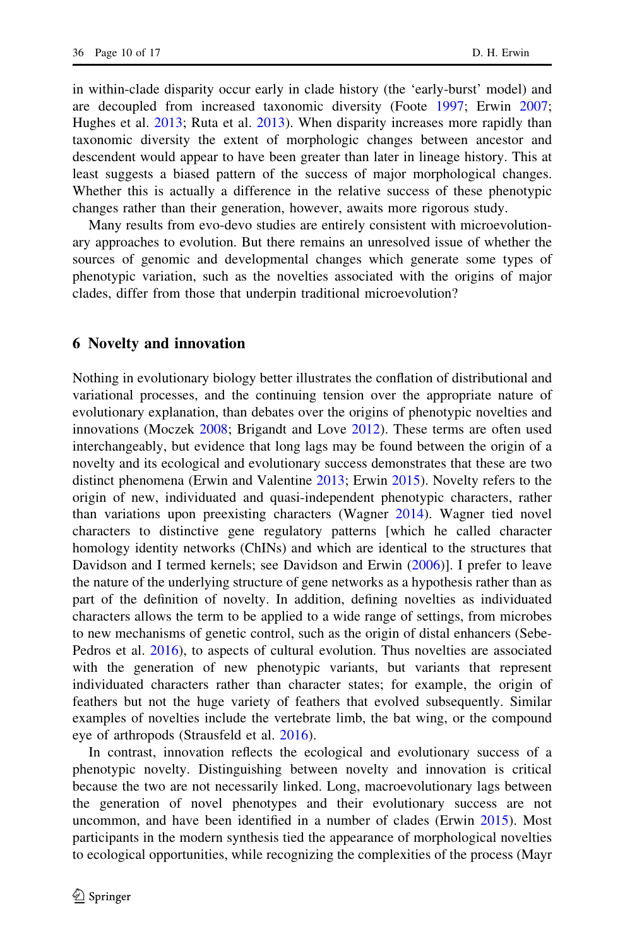in within-clade disparity occur early in clade history (the 'early-burst' model) and are decoupled from increased taxonomic diversity (Foote [1997](#page-12-0); Erwin [2007;](#page-12-0) Hughes et al. [2013;](#page-13-0) Ruta et al. [2013\)](#page-15-0). When disparity increases more rapidly than taxonomic diversity the extent of morphologic changes between ancestor and descendent would appear to have been greater than later in lineage history. This at least suggests a biased pattern of the success of major morphological changes. Whether this is actually a difference in the relative success of these phenotypic changes rather than their generation, however, awaits more rigorous study.

Many results from evo-devo studies are entirely consistent with microevolutionary approaches to evolution. But there remains an unresolved issue of whether the sources of genomic and developmental changes which generate some types of phenotypic variation, such as the novelties associated with the origins of major clades, differ from those that underpin traditional microevolution?

#### 6 Novelty and innovation

Nothing in evolutionary biology better illustrates the conflation of distributional and variational processes, and the continuing tension over the appropriate nature of evolutionary explanation, than debates over the origins of phenotypic novelties and innovations (Moczek [2008](#page-14-0); Brigandt and Love [2012](#page-12-0)). These terms are often used interchangeably, but evidence that long lags may be found between the origin of a novelty and its ecological and evolutionary success demonstrates that these are two distinct phenomena (Erwin and Valentine [2013;](#page-12-0) Erwin [2015\)](#page-12-0). Novelty refers to the origin of new, individuated and quasi-independent phenotypic characters, rather than variations upon preexisting characters (Wagner [2014](#page-16-0)). Wagner tied novel characters to distinctive gene regulatory patterns [which he called character homology identity networks (ChINs) and which are identical to the structures that Davidson and I termed kernels; see Davidson and Erwin ([2006\)](#page-12-0)]. I prefer to leave the nature of the underlying structure of gene networks as a hypothesis rather than as part of the definition of novelty. In addition, defining novelties as individuated characters allows the term to be applied to a wide range of settings, from microbes to new mechanisms of genetic control, such as the origin of distal enhancers (Sebe-Pedros et al. [2016\)](#page-15-0), to aspects of cultural evolution. Thus novelties are associated with the generation of new phenotypic variants, but variants that represent individuated characters rather than character states; for example, the origin of feathers but not the huge variety of feathers that evolved subsequently. Similar examples of novelties include the vertebrate limb, the bat wing, or the compound eye of arthropods (Strausfeld et al. [2016\)](#page-15-0).

In contrast, innovation reflects the ecological and evolutionary success of a phenotypic novelty. Distinguishing between novelty and innovation is critical because the two are not necessarily linked. Long, macroevolutionary lags between the generation of novel phenotypes and their evolutionary success are not uncommon, and have been identified in a number of clades (Erwin [2015\)](#page-12-0). Most participants in the modern synthesis tied the appearance of morphological novelties to ecological opportunities, while recognizing the complexities of the process (Mayr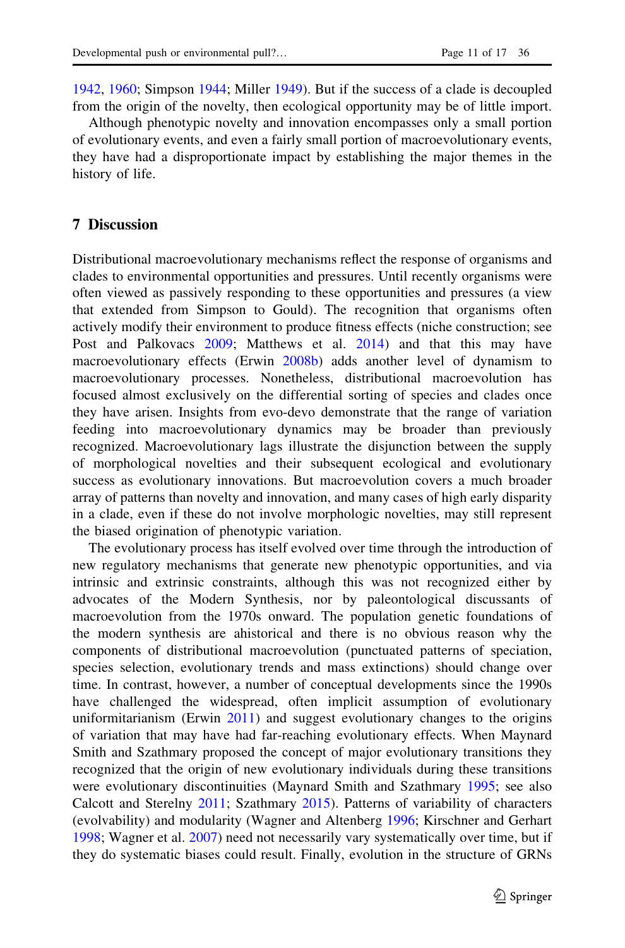[1942,](#page-14-0) [1960](#page-14-0); Simpson [1944](#page-15-0); Miller [1949\)](#page-14-0). But if the success of a clade is decoupled from the origin of the novelty, then ecological opportunity may be of little import.

Although phenotypic novelty and innovation encompasses only a small portion of evolutionary events, and even a fairly small portion of macroevolutionary events, they have had a disproportionate impact by establishing the major themes in the history of life.

# 7 Discussion

Distributional macroevolutionary mechanisms reflect the response of organisms and clades to environmental opportunities and pressures. Until recently organisms were often viewed as passively responding to these opportunities and pressures (a view that extended from Simpson to Gould). The recognition that organisms often actively modify their environment to produce fitness effects (niche construction; see Post and Palkovacs [2009;](#page-14-0) Matthews et al. [2014](#page-14-0)) and that this may have macroevolutionary effects (Erwin [2008b\)](#page-12-0) adds another level of dynamism to macroevolutionary processes. Nonetheless, distributional macroevolution has focused almost exclusively on the differential sorting of species and clades once they have arisen. Insights from evo-devo demonstrate that the range of variation feeding into macroevolutionary dynamics may be broader than previously recognized. Macroevolutionary lags illustrate the disjunction between the supply of morphological novelties and their subsequent ecological and evolutionary success as evolutionary innovations. But macroevolution covers a much broader array of patterns than novelty and innovation, and many cases of high early disparity in a clade, even if these do not involve morphologic novelties, may still represent the biased origination of phenotypic variation.

The evolutionary process has itself evolved over time through the introduction of new regulatory mechanisms that generate new phenotypic opportunities, and via intrinsic and extrinsic constraints, although this was not recognized either by advocates of the Modern Synthesis, nor by paleontological discussants of macroevolution from the 1970s onward. The population genetic foundations of the modern synthesis are ahistorical and there is no obvious reason why the components of distributional macroevolution (punctuated patterns of speciation, species selection, evolutionary trends and mass extinctions) should change over time. In contrast, however, a number of conceptual developments since the 1990s have challenged the widespread, often implicit assumption of evolutionary uniformitarianism (Erwin [2011\)](#page-12-0) and suggest evolutionary changes to the origins of variation that may have had far-reaching evolutionary effects. When Maynard Smith and Szathmary proposed the concept of major evolutionary transitions they recognized that the origin of new evolutionary individuals during these transitions were evolutionary discontinuities (Maynard Smith and Szathmary [1995](#page-14-0); see also Calcott and Sterelny [2011](#page-12-0); Szathmary [2015\)](#page-15-0). Patterns of variability of characters (evolvability) and modularity (Wagner and Altenberg [1996;](#page-16-0) Kirschner and Gerhart [1998;](#page-13-0) Wagner et al. [2007](#page-16-0)) need not necessarily vary systematically over time, but if they do systematic biases could result. Finally, evolution in the structure of GRNs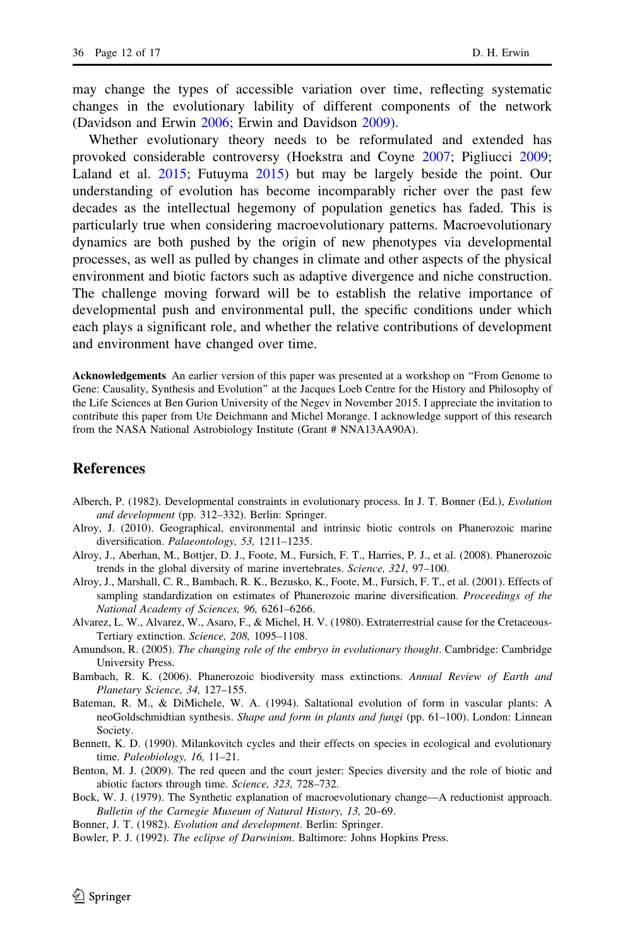<span id="page-11-0"></span>may change the types of accessible variation over time, reflecting systematic changes in the evolutionary lability of different components of the network (Davidson and Erwin [2006](#page-12-0); Erwin and Davidson [2009\)](#page-12-0).

Whether evolutionary theory needs to be reformulated and extended has provoked considerable controversy (Hoekstra and Coyne [2007;](#page-13-0) Pigliucci [2009;](#page-14-0) Laland et al. [2015](#page-13-0); Futuyma [2015](#page-12-0)) but may be largely beside the point. Our understanding of evolution has become incomparably richer over the past few decades as the intellectual hegemony of population genetics has faded. This is particularly true when considering macroevolutionary patterns. Macroevolutionary dynamics are both pushed by the origin of new phenotypes via developmental processes, as well as pulled by changes in climate and other aspects of the physical environment and biotic factors such as adaptive divergence and niche construction. The challenge moving forward will be to establish the relative importance of developmental push and environmental pull, the specific conditions under which each plays a significant role, and whether the relative contributions of development and environment have changed over time.

Acknowledgements An earlier version of this paper was presented at a workshop on ''From Genome to Gene: Causality, Synthesis and Evolution'' at the Jacques Loeb Centre for the History and Philosophy of the Life Sciences at Ben Gurion University of the Negev in November 2015. I appreciate the invitation to contribute this paper from Ute Deichmann and Michel Morange. I acknowledge support of this research from the NASA National Astrobiology Institute (Grant # NNA13AA90A).

## **References**

- Alberch, P. (1982). Developmental constraints in evolutionary process. In J. T. Bonner (Ed.), Evolution and development (pp. 312–332). Berlin: Springer.
- Alroy, J. (2010). Geographical, environmental and intrinsic biotic controls on Phanerozoic marine diversification. Palaeontology, 53, 1211–1235.
- Alroy, J., Aberhan, M., Bottjer, D. J., Foote, M., Fursich, F. T., Harries, P. J., et al. (2008). Phanerozoic trends in the global diversity of marine invertebrates. Science, 321, 97–100.
- Alroy, J., Marshall, C. R., Bambach, R. K., Bezusko, K., Foote, M., Fursich, F. T., et al. (2001). Effects of sampling standardization on estimates of Phanerozoic marine diversification. Proceedings of the National Academy of Sciences, 96, 6261–6266.
- Alvarez, L. W., Alvarez, W., Asaro, F., & Michel, H. V. (1980). Extraterrestrial cause for the Cretaceous-Tertiary extinction. Science, 208, 1095–1108.
- Amundson, R. (2005). The changing role of the embryo in evolutionary thought. Cambridge: Cambridge University Press.
- Bambach, R. K. (2006). Phanerozoic biodiversity mass extinctions. Annual Review of Earth and Planetary Science, 34, 127–155.
- Bateman, R. M., & DiMichele, W. A. (1994). Saltational evolution of form in vascular plants: A neoGoldschmidtian synthesis. Shape and form in plants and fungi (pp. 61–100). London: Linnean Society.
- Bennett, K. D. (1990). Milankovitch cycles and their effects on species in ecological and evolutionary time. Paleobiology, 16, 11–21.
- Benton, M. J. (2009). The red queen and the court jester: Species diversity and the role of biotic and abiotic factors through time. Science, 323, 728–732.
- Bock, W. J. (1979). The Synthetic explanation of macroevolutionary change—A reductionist approach. Bulletin of the Carnegie Museum of Natural History, 13, 20–69.
- Bonner, J. T. (1982). Evolution and development. Berlin: Springer.
- Bowler, P. J. (1992). The eclipse of Darwinism. Baltimore: Johns Hopkins Press.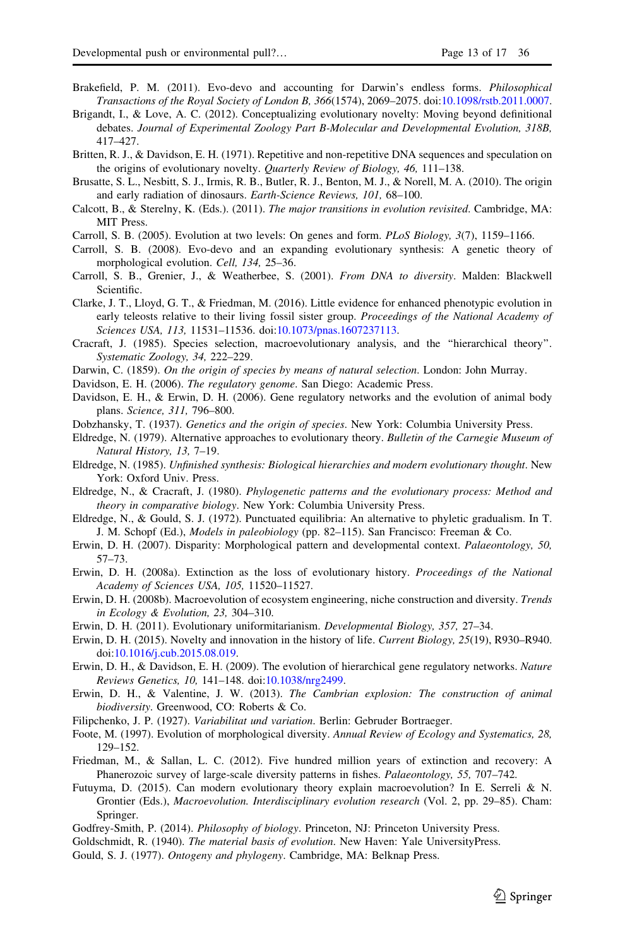- <span id="page-12-0"></span>Brakefield, P. M. (2011). Evo-devo and accounting for Darwin's endless forms. Philosophical Transactions of the Royal Society of London B, 366(1574), 2069–2075. doi:[10.1098/rstb.2011.0007](http://dx.doi.org/10.1098/rstb.2011.0007).
- Brigandt, I., & Love, A. C. (2012). Conceptualizing evolutionary novelty: Moving beyond definitional debates. Journal of Experimental Zoology Part B-Molecular and Developmental Evolution, 318B, 417–427.
- Britten, R. J., & Davidson, E. H. (1971). Repetitive and non-repetitive DNA sequences and speculation on the origins of evolutionary novelty. Quarterly Review of Biology, 46, 111–138.
- Brusatte, S. L., Nesbitt, S. J., Irmis, R. B., Butler, R. J., Benton, M. J., & Norell, M. A. (2010). The origin and early radiation of dinosaurs. Earth-Science Reviews, 101, 68–100.
- Calcott, B., & Sterelny, K. (Eds.). (2011). The major transitions in evolution revisited. Cambridge, MA: MIT Press.
- Carroll, S. B. (2005). Evolution at two levels: On genes and form. PLoS Biology, 3(7), 1159–1166.
- Carroll, S. B. (2008). Evo-devo and an expanding evolutionary synthesis: A genetic theory of morphological evolution. Cell, 134, 25–36.
- Carroll, S. B., Grenier, J., & Weatherbee, S. (2001). From DNA to diversity. Malden: Blackwell Scientific.
- Clarke, J. T., Lloyd, G. T., & Friedman, M. (2016). Little evidence for enhanced phenotypic evolution in early teleosts relative to their living fossil sister group. Proceedings of the National Academy of Sciences USA, 113, 11531–11536. doi:[10.1073/pnas.1607237113](http://dx.doi.org/10.1073/pnas.1607237113).
- Cracraft, J. (1985). Species selection, macroevolutionary analysis, and the ''hierarchical theory''. Systematic Zoology, 34, 222–229.
- Darwin, C. (1859). On the origin of species by means of natural selection. London: John Murray.

Davidson, E. H. (2006). The regulatory genome. San Diego: Academic Press.

- Davidson, E. H., & Erwin, D. H. (2006). Gene regulatory networks and the evolution of animal body plans. Science, 311, 796–800.
- Dobzhansky, T. (1937). Genetics and the origin of species. New York: Columbia University Press.
- Eldredge, N. (1979). Alternative approaches to evolutionary theory. Bulletin of the Carnegie Museum of Natural History, 13, 7–19.
- Eldredge, N. (1985). Unfinished synthesis: Biological hierarchies and modern evolutionary thought. New York: Oxford Univ. Press.
- Eldredge, N., & Cracraft, J. (1980). Phylogenetic patterns and the evolutionary process: Method and theory in comparative biology. New York: Columbia University Press.
- Eldredge, N., & Gould, S. J. (1972). Punctuated equilibria: An alternative to phyletic gradualism. In T. J. M. Schopf (Ed.), Models in paleobiology (pp. 82–115). San Francisco: Freeman & Co.
- Erwin, D. H. (2007). Disparity: Morphological pattern and developmental context. Palaeontology, 50, 57–73.
- Erwin, D. H. (2008a). Extinction as the loss of evolutionary history. Proceedings of the National Academy of Sciences USA, 105, 11520–11527.
- Erwin, D. H. (2008b). Macroevolution of ecosystem engineering, niche construction and diversity. Trends in Ecology & Evolution, 23, 304–310.
- Erwin, D. H. (2011). Evolutionary uniformitarianism. Developmental Biology, 357, 27–34.
- Erwin, D. H. (2015). Novelty and innovation in the history of life. Current Biology, 25(19), R930–R940. doi[:10.1016/j.cub.2015.08.019.](http://dx.doi.org/10.1016/j.cub.2015.08.019)
- Erwin, D. H., & Davidson, E. H. (2009). The evolution of hierarchical gene regulatory networks. Nature Reviews Genetics, 10, 141–148. doi:[10.1038/nrg2499](http://dx.doi.org/10.1038/nrg2499).
- Erwin, D. H., & Valentine, J. W. (2013). The Cambrian explosion: The construction of animal biodiversity. Greenwood, CO: Roberts & Co.
- Filipchenko, J. P. (1927). Variabilitat und variation. Berlin: Gebruder Bortraeger.
- Foote, M. (1997). Evolution of morphological diversity. Annual Review of Ecology and Systematics, 28, 129–152.
- Friedman, M., & Sallan, L. C. (2012). Five hundred million years of extinction and recovery: A Phanerozoic survey of large-scale diversity patterns in fishes. Palaeontology, 55, 707–742.
- Futuyma, D. (2015). Can modern evolutionary theory explain macroevolution? In E. Serreli & N. Grontier (Eds.), Macroevolution. Interdisciplinary evolution research (Vol. 2, pp. 29–85). Cham: Springer.
- Godfrey-Smith, P. (2014). Philosophy of biology. Princeton, NJ: Princeton University Press.
- Goldschmidt, R. (1940). The material basis of evolution. New Haven: Yale UniversityPress.
- Gould, S. J. (1977). Ontogeny and phylogeny. Cambridge, MA: Belknap Press.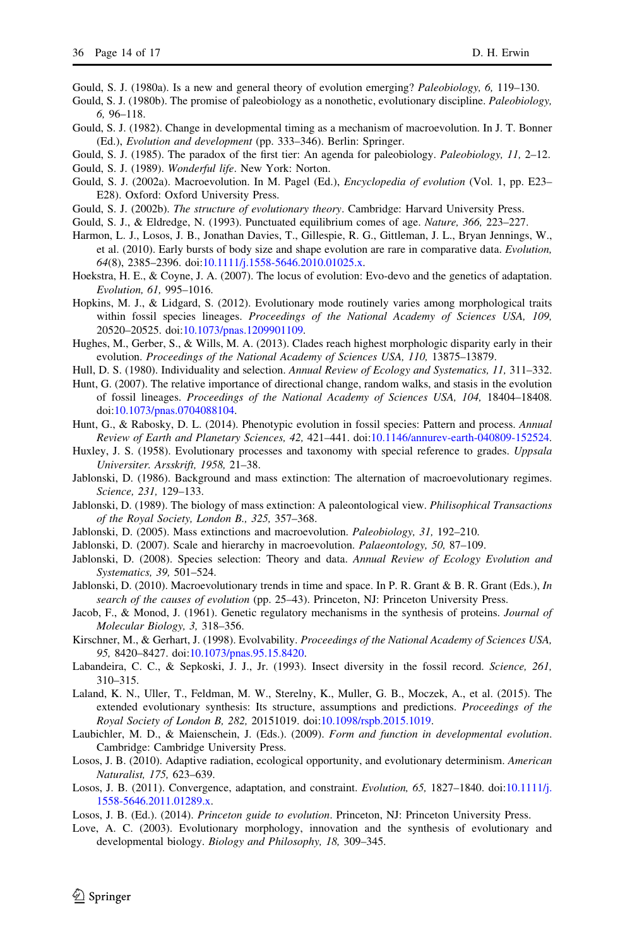<span id="page-13-0"></span>Gould, S. J. (1980a). Is a new and general theory of evolution emerging? Paleobiology, 6, 119–130.

- Gould, S. J. (1980b). The promise of paleobiology as a nonothetic, evolutionary discipline. *Paleobiology*, 6, 96–118.
- Gould, S. J. (1982). Change in developmental timing as a mechanism of macroevolution. In J. T. Bonner (Ed.), Evolution and development (pp. 333–346). Berlin: Springer.
- Gould, S. J. (1985). The paradox of the first tier: An agenda for paleobiology. *Paleobiology*, 11, 2–12.
- Gould, S. J. (1989). Wonderful life. New York: Norton.
- Gould, S. J. (2002a). Macroevolution. In M. Pagel (Ed.), Encyclopedia of evolution (Vol. 1, pp. E23– E28). Oxford: Oxford University Press.
- Gould, S. J. (2002b). The structure of evolutionary theory. Cambridge: Harvard University Press.
- Gould, S. J., & Eldredge, N. (1993). Punctuated equilibrium comes of age. Nature, 366, 223–227.
- Harmon, L. J., Losos, J. B., Jonathan Davies, T., Gillespie, R. G., Gittleman, J. L., Bryan Jennings, W., et al. (2010). Early bursts of body size and shape evolution are rare in comparative data. Evolution, 64(8), 2385–2396. doi:[10.1111/j.1558-5646.2010.01025.x](http://dx.doi.org/10.1111/j.1558-5646.2010.01025.x).
- Hoekstra, H. E., & Coyne, J. A. (2007). The locus of evolution: Evo-devo and the genetics of adaptation. Evolution, 61, 995–1016.
- Hopkins, M. J., & Lidgard, S. (2012). Evolutionary mode routinely varies among morphological traits within fossil species lineages. Proceedings of the National Academy of Sciences USA, 109, 20520–20525. doi:[10.1073/pnas.1209901109](http://dx.doi.org/10.1073/pnas.1209901109).
- Hughes, M., Gerber, S., & Wills, M. A. (2013). Clades reach highest morphologic disparity early in their evolution. Proceedings of the National Academy of Sciences USA, 110, 13875–13879.
- Hull, D. S. (1980). Individuality and selection. Annual Review of Ecology and Systematics, 11, 311-332.
- Hunt, G. (2007). The relative importance of directional change, random walks, and stasis in the evolution of fossil lineages. Proceedings of the National Academy of Sciences USA, 104, 18404–18408. doi[:10.1073/pnas.0704088104.](http://dx.doi.org/10.1073/pnas.0704088104)
- Hunt, G., & Rabosky, D. L. (2014). Phenotypic evolution in fossil species: Pattern and process. Annual Review of Earth and Planetary Sciences, 42, 421–441. doi[:10.1146/annurev-earth-040809-152524](http://dx.doi.org/10.1146/annurev-earth-040809-152524).
- Huxley, J. S. (1958). Evolutionary processes and taxonomy with special reference to grades. Uppsala Universiter. Arsskrift, 1958, 21–38.
- Jablonski, D. (1986). Background and mass extinction: The alternation of macroevolutionary regimes. Science, 231, 129–133.
- Jablonski, D. (1989). The biology of mass extinction: A paleontological view. *Philisophical Transactions* of the Royal Society, London B., 325, 357–368.
- Jablonski, D. (2005). Mass extinctions and macroevolution. Paleobiology, 31, 192–210.
- Jablonski, D. (2007). Scale and hierarchy in macroevolution. *Palaeontology*, 50, 87–109.
- Jablonski, D. (2008). Species selection: Theory and data. Annual Review of Ecology Evolution and Systematics, 39, 501–524.
- Jablonski, D. (2010). Macroevolutionary trends in time and space. In P. R. Grant & B. R. Grant (Eds.), *In* search of the causes of evolution (pp. 25–43). Princeton, NJ: Princeton University Press.
- Jacob, F., & Monod, J. (1961). Genetic regulatory mechanisms in the synthesis of proteins. Journal of Molecular Biology, 3, 318–356.
- Kirschner, M., & Gerhart, J. (1998). Evolvability. Proceedings of the National Academy of Sciences USA, 95, 8420–8427. doi[:10.1073/pnas.95.15.8420.](http://dx.doi.org/10.1073/pnas.95.15.8420)
- Labandeira, C. C., & Sepkoski, J. J., Jr. (1993). Insect diversity in the fossil record. Science, 261, 310–315.
- Laland, K. N., Uller, T., Feldman, M. W., Sterelny, K., Muller, G. B., Moczek, A., et al. (2015). The extended evolutionary synthesis: Its structure, assumptions and predictions. Proceedings of the Royal Society of London B, 282, 20151019. doi:[10.1098/rspb.2015.1019](http://dx.doi.org/10.1098/rspb.2015.1019).
- Laubichler, M. D., & Maienschein, J. (Eds.). (2009). Form and function in developmental evolution. Cambridge: Cambridge University Press.
- Losos, J. B. (2010). Adaptive radiation, ecological opportunity, and evolutionary determinism. American Naturalist, 175, 623–639.
- Losos, J. B. (2011). Convergence, adaptation, and constraint. Evolution, 65, 1827–1840. doi[:10.1111/j.](http://dx.doi.org/10.1111/j.1558-5646.2011.01289.x) [1558-5646.2011.01289.x](http://dx.doi.org/10.1111/j.1558-5646.2011.01289.x).
- Losos, J. B. (Ed.). (2014). Princeton guide to evolution. Princeton, NJ: Princeton University Press.
- Love, A. C. (2003). Evolutionary morphology, innovation and the synthesis of evolutionary and developmental biology. Biology and Philosophy, 18, 309–345.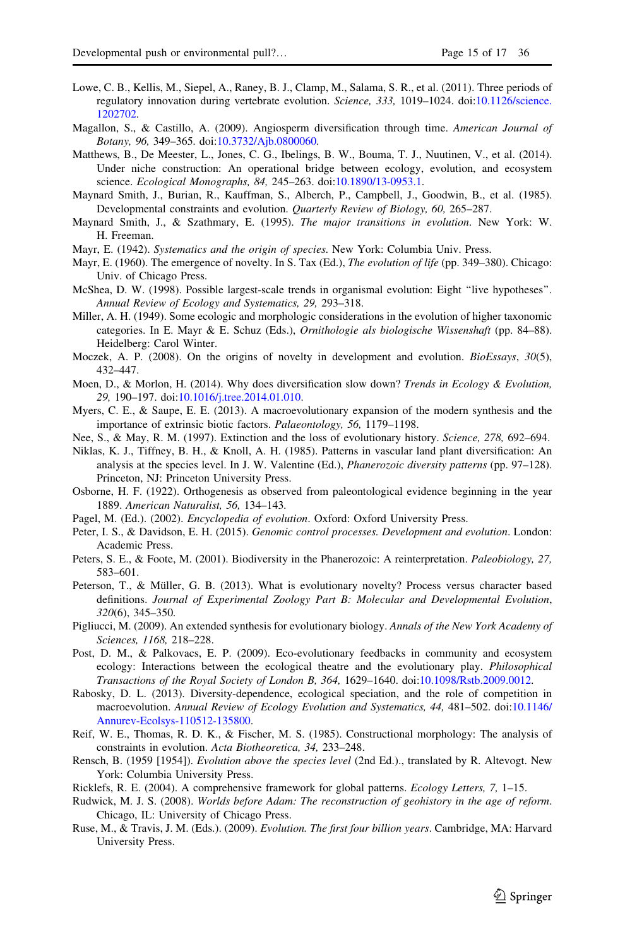- <span id="page-14-0"></span>Lowe, C. B., Kellis, M., Siepel, A., Raney, B. J., Clamp, M., Salama, S. R., et al. (2011). Three periods of regulatory innovation during vertebrate evolution. Science, 333, 1019–1024. doi:[10.1126/science.](http://dx.doi.org/10.1126/science.1202702) [1202702.](http://dx.doi.org/10.1126/science.1202702)
- Magallon, S., & Castillo, A. (2009). Angiosperm diversification through time. American Journal of Botany, 96, 349–365. doi:[10.3732/Ajb.0800060.](http://dx.doi.org/10.3732/Ajb.0800060)
- Matthews, B., De Meester, L., Jones, C. G., Ibelings, B. W., Bouma, T. J., Nuutinen, V., et al. (2014). Under niche construction: An operational bridge between ecology, evolution, and ecosystem science. Ecological Monographs, 84, 245–263. doi[:10.1890/13-0953.1.](http://dx.doi.org/10.1890/13-0953.1)
- Maynard Smith, J., Burian, R., Kauffman, S., Alberch, P., Campbell, J., Goodwin, B., et al. (1985). Developmental constraints and evolution. Quarterly Review of Biology, 60, 265–287.
- Maynard Smith, J., & Szathmary, E. (1995). The major transitions in evolution. New York: W. H. Freeman.
- Mayr, E. (1942). Systematics and the origin of species. New York: Columbia Univ. Press.
- Mayr, E. (1960). The emergence of novelty. In S. Tax (Ed.), *The evolution of life* (pp. 349–380). Chicago: Univ. of Chicago Press.
- McShea, D. W. (1998). Possible largest-scale trends in organismal evolution: Eight ''live hypotheses''. Annual Review of Ecology and Systematics, 29, 293–318.
- Miller, A. H. (1949). Some ecologic and morphologic considerations in the evolution of higher taxonomic categories. In E. Mayr & E. Schuz (Eds.), Ornithologie als biologische Wissenshaft (pp. 84–88). Heidelberg: Carol Winter.
- Moczek, A. P. (2008). On the origins of novelty in development and evolution. BioEssays, 30(5), 432–447.
- Moen, D., & Morlon, H. (2014). Why does diversification slow down? Trends in Ecology & Evolution, 29, 190–197. doi:[10.1016/j.tree.2014.01.010.](http://dx.doi.org/10.1016/j.tree.2014.01.010)
- Myers, C. E., & Saupe, E. E. (2013). A macroevolutionary expansion of the modern synthesis and the importance of extrinsic biotic factors. Palaeontology, 56, 1179–1198.
- Nee, S., & May, R. M. (1997). Extinction and the loss of evolutionary history. Science, 278, 692–694.
- Niklas, K. J., Tiffney, B. H., & Knoll, A. H. (1985). Patterns in vascular land plant diversification: An analysis at the species level. In J. W. Valentine (Ed.), Phanerozoic diversity patterns (pp. 97–128). Princeton, NJ: Princeton University Press.
- Osborne, H. F. (1922). Orthogenesis as observed from paleontological evidence beginning in the year 1889. American Naturalist, 56, 134–143.
- Pagel, M. (Ed.). (2002). Encyclopedia of evolution. Oxford: Oxford University Press.
- Peter, I. S., & Davidson, E. H. (2015). Genomic control processes. Development and evolution. London: Academic Press.
- Peters, S. E., & Foote, M. (2001). Biodiversity in the Phanerozoic: A reinterpretation. *Paleobiology*, 27, 583–601.
- Peterson, T., & Müller, G. B. (2013). What is evolutionary novelty? Process versus character based definitions. Journal of Experimental Zoology Part B: Molecular and Developmental Evolution, 320(6), 345–350.
- Pigliucci, M. (2009). An extended synthesis for evolutionary biology. Annals of the New York Academy of Sciences, 1168, 218–228.
- Post, D. M., & Palkovacs, E. P. (2009). Eco-evolutionary feedbacks in community and ecosystem ecology: Interactions between the ecological theatre and the evolutionary play. Philosophical Transactions of the Royal Society of London B, 364, 1629–1640. doi[:10.1098/Rstb.2009.0012.](http://dx.doi.org/10.1098/Rstb.2009.0012)
- Rabosky, D. L. (2013). Diversity-dependence, ecological speciation, and the role of competition in macroevolution. Annual Review of Ecology Evolution and Systematics, 44, 481–502. doi[:10.1146/](http://dx.doi.org/10.1146/Annurev-Ecolsys-110512-135800) [Annurev-Ecolsys-110512-135800](http://dx.doi.org/10.1146/Annurev-Ecolsys-110512-135800).
- Reif, W. E., Thomas, R. D. K., & Fischer, M. S. (1985). Constructional morphology: The analysis of constraints in evolution. Acta Biotheoretica, 34, 233–248.
- Rensch, B. (1959 [1954]). Evolution above the species level (2nd Ed.)., translated by R. Altevogt. New York: Columbia University Press.
- Ricklefs, R. E. (2004). A comprehensive framework for global patterns. Ecology Letters, 7, 1–15.
- Rudwick, M. J. S. (2008). Worlds before Adam: The reconstruction of geohistory in the age of reform. Chicago, IL: University of Chicago Press.
- Ruse, M., & Travis, J. M. (Eds.). (2009). Evolution. The first four billion years. Cambridge, MA: Harvard University Press.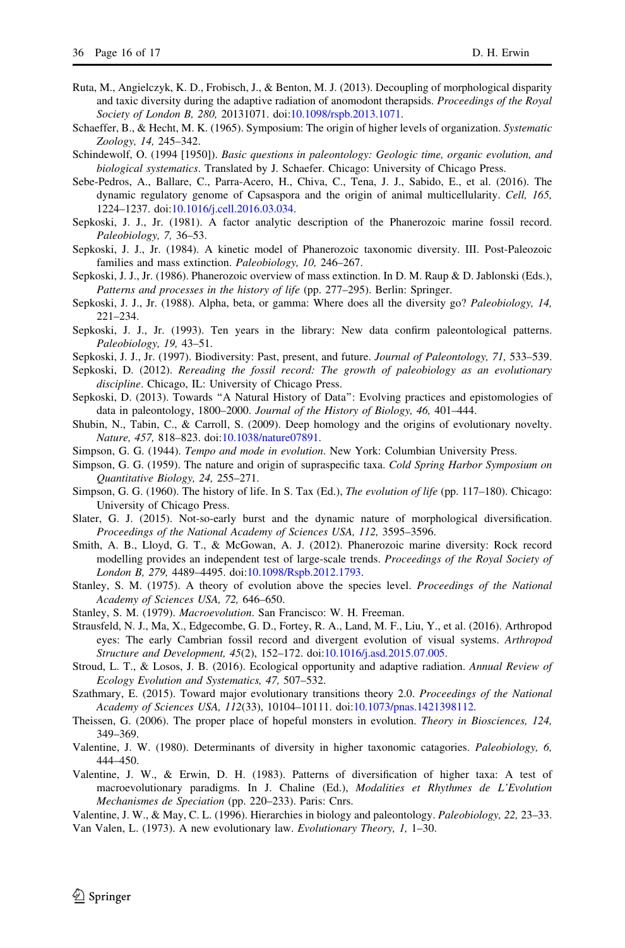- <span id="page-15-0"></span>Ruta, M., Angielczyk, K. D., Frobisch, J., & Benton, M. J. (2013). Decoupling of morphological disparity and taxic diversity during the adaptive radiation of anomodont therapsids. Proceedings of the Royal Society of London B, 280, 20131071. doi[:10.1098/rspb.2013.1071.](http://dx.doi.org/10.1098/rspb.2013.1071)
- Schaeffer, B., & Hecht, M. K. (1965). Symposium: The origin of higher levels of organization. Systematic Zoology, 14, 245–342.
- Schindewolf, O. (1994 [1950]). Basic questions in paleontology: Geologic time, organic evolution, and biological systematics. Translated by J. Schaefer. Chicago: University of Chicago Press.
- Sebe-Pedros, A., Ballare, C., Parra-Acero, H., Chiva, C., Tena, J. J., Sabido, E., et al. (2016). The dynamic regulatory genome of Capsaspora and the origin of animal multicellularity. Cell, 165, 1224–1237. doi:[10.1016/j.cell.2016.03.034](http://dx.doi.org/10.1016/j.cell.2016.03.034).
- Sepkoski, J. J., Jr. (1981). A factor analytic description of the Phanerozoic marine fossil record. Paleobiology, 7, 36–53.
- Sepkoski, J. J., Jr. (1984). A kinetic model of Phanerozoic taxonomic diversity. III. Post-Paleozoic families and mass extinction. Paleobiology, 10, 246–267.
- Sepkoski, J. J., Jr. (1986). Phanerozoic overview of mass extinction. In D. M. Raup & D. Jablonski (Eds.), Patterns and processes in the history of life (pp. 277–295). Berlin: Springer.
- Sepkoski, J. J., Jr. (1988). Alpha, beta, or gamma: Where does all the diversity go? *Paleobiology*, 14, 221–234.
- Sepkoski, J. J., Jr. (1993). Ten years in the library: New data confirm paleontological patterns. Paleobiology, 19, 43–51.
- Sepkoski, J. J., Jr. (1997). Biodiversity: Past, present, and future. Journal of Paleontology, 71, 533–539.
- Sepkoski, D. (2012). Rereading the fossil record: The growth of paleobiology as an evolutionary discipline. Chicago, IL: University of Chicago Press.
- Sepkoski, D. (2013). Towards ''A Natural History of Data'': Evolving practices and epistomologies of data in paleontology, 1800–2000. Journal of the History of Biology, 46, 401–444.
- Shubin, N., Tabin, C., & Carroll, S. (2009). Deep homology and the origins of evolutionary novelty. Nature, 457, 818–823. doi[:10.1038/nature07891](http://dx.doi.org/10.1038/nature07891).
- Simpson, G. G. (1944). Tempo and mode in evolution. New York: Columbian University Press.
- Simpson, G. G. (1959). The nature and origin of supraspecific taxa. Cold Spring Harbor Symposium on Quantitative Biology, 24, 255–271.
- Simpson, G. G. (1960). The history of life. In S. Tax (Ed.), The evolution of life (pp. 117–180). Chicago: University of Chicago Press.
- Slater, G. J. (2015). Not-so-early burst and the dynamic nature of morphological diversification. Proceedings of the National Academy of Sciences USA, 112, 3595–3596.
- Smith, A. B., Lloyd, G. T., & McGowan, A. J. (2012). Phanerozoic marine diversity: Rock record modelling provides an independent test of large-scale trends. Proceedings of the Royal Society of London B, 279, 4489–4495. doi:[10.1098/Rspb.2012.1793.](http://dx.doi.org/10.1098/Rspb.2012.1793)
- Stanley, S. M. (1975). A theory of evolution above the species level. Proceedings of the National Academy of Sciences USA, 72, 646–650.
- Stanley, S. M. (1979). Macroevolution. San Francisco: W. H. Freeman.
- Strausfeld, N. J., Ma, X., Edgecombe, G. D., Fortey, R. A., Land, M. F., Liu, Y., et al. (2016). Arthropod eyes: The early Cambrian fossil record and divergent evolution of visual systems. Arthropod Structure and Development, 45(2), 152–172. doi[:10.1016/j.asd.2015.07.005.](http://dx.doi.org/10.1016/j.asd.2015.07.005)
- Stroud, L. T., & Losos, J. B. (2016). Ecological opportunity and adaptive radiation. Annual Review of Ecology Evolution and Systematics, 47, 507–532.
- Szathmary, E. (2015). Toward major evolutionary transitions theory 2.0. Proceedings of the National Academy of Sciences USA, 112(33), 10104–10111. doi:[10.1073/pnas.1421398112](http://dx.doi.org/10.1073/pnas.1421398112).
- Theissen, G. (2006). The proper place of hopeful monsters in evolution. Theory in Biosciences, 124, 349–369.
- Valentine, J. W. (1980). Determinants of diversity in higher taxonomic catagories. Paleobiology, 6, 444–450.
- Valentine, J. W., & Erwin, D. H. (1983). Patterns of diversification of higher taxa: A test of macroevolutionary paradigms. In J. Chaline (Ed.), Modalities et Rhythmes de L'Evolution Mechanismes de Speciation (pp. 220–233). Paris: Cnrs.

Valentine, J. W., & May, C. L. (1996). Hierarchies in biology and paleontology. Paleobiology, 22, 23–33. Van Valen, L. (1973). A new evolutionary law. Evolutionary Theory, 1, 1–30.